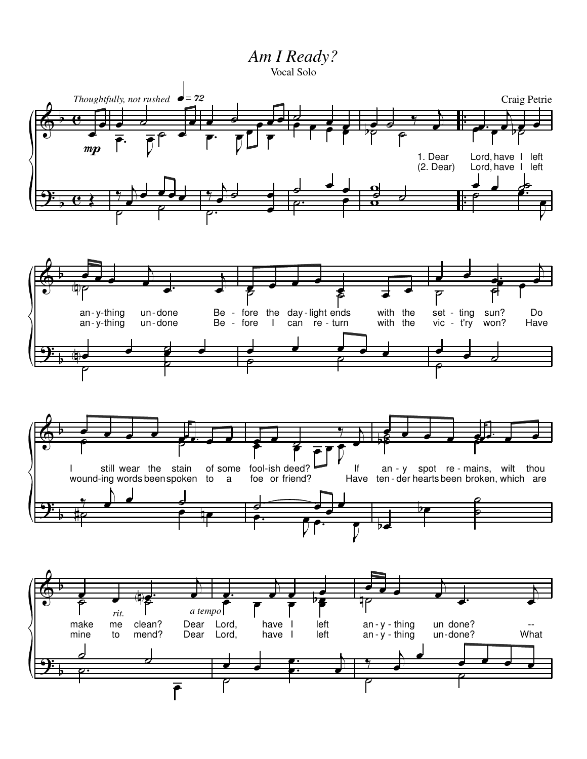*Am I Ready?* Vocal Solo



 $\overline{\overline{\rho}}$ 

 $\overline{\mathbf{b}}$  $\bar{r}$  $\overrightarrow{ }$  $\frac{1}{1}$  $\mathbf{e}$ e É  $\overline{\overline{\rho}}$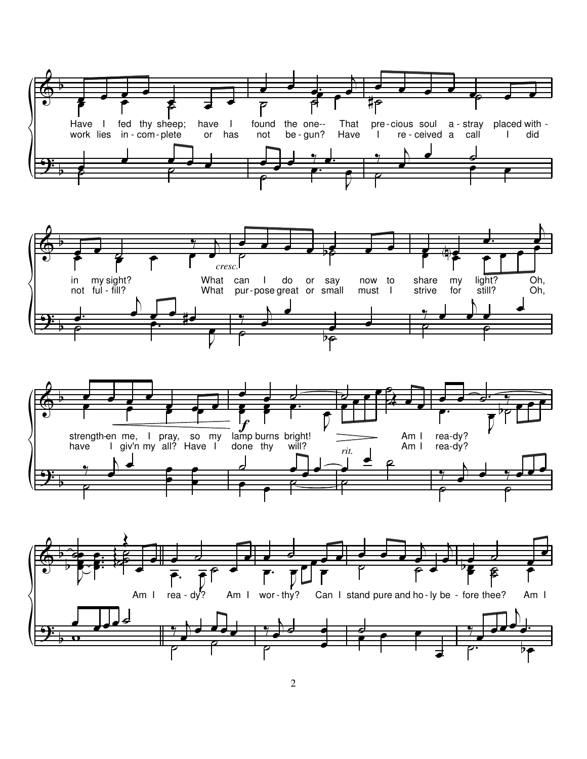